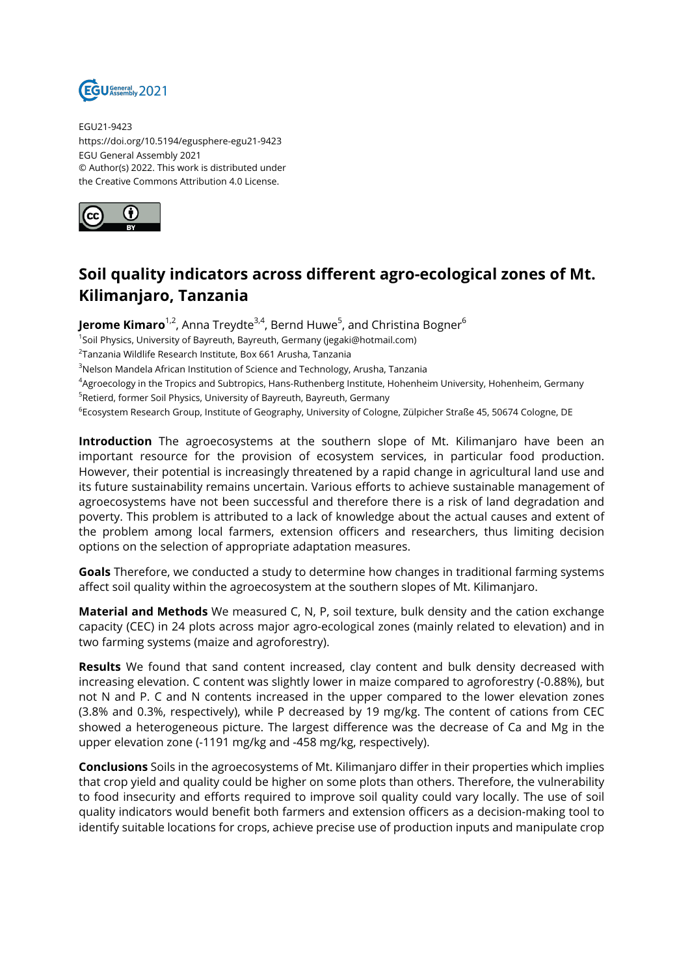

EGU21-9423 https://doi.org/10.5194/egusphere-egu21-9423 EGU General Assembly 2021 © Author(s) 2022. This work is distributed under the Creative Commons Attribution 4.0 License.



## **Soil quality indicators across different agro-ecological zones of Mt. Kilimanjaro, Tanzania**

**Jerome Kimaro**<sup>1,2</sup>, Anna Treydte<sup>3,4</sup>, Bernd Huwe<sup>5</sup>, and Christina Bogner<sup>6</sup>

<sup>1</sup>Soil Physics, University of Bayreuth, Bayreuth, Germany (jegaki@hotmail.com)

2 Tanzania Wildlife Research Institute, Box 661 Arusha, Tanzania

<sup>3</sup>Nelson Mandela African Institution of Science and Technology, Arusha, Tanzania

<sup>4</sup>Agroecology in the Tropics and Subtropics, Hans-Ruthenberg Institute, Hohenheim University, Hohenheim, Germany

<sup>5</sup>Retierd, former Soil Physics, University of Bayreuth, Bayreuth, Germany

 $^6$ Ecosystem Research Group, Institute of Geography, University of Cologne, Zülpicher Straße 45, 50674 Cologne, DE

**Introduction** The agroecosystems at the southern slope of Mt. Kilimanjaro have been an important resource for the provision of ecosystem services, in particular food production. However, their potential is increasingly threatened by a rapid change in agricultural land use and its future sustainability remains uncertain. Various efforts to achieve sustainable management of agroecosystems have not been successful and therefore there is a risk of land degradation and poverty. This problem is attributed to a lack of knowledge about the actual causes and extent of the problem among local farmers, extension officers and researchers, thus limiting decision options on the selection of appropriate adaptation measures.

**Goals** Therefore, we conducted a study to determine how changes in traditional farming systems affect soil quality within the agroecosystem at the southern slopes of Mt. Kilimanjaro.

**Material and Methods** We measured C, N, P, soil texture, bulk density and the cation exchange capacity (CEC) in 24 plots across major agro-ecological zones (mainly related to elevation) and in two farming systems (maize and agroforestry).

**Results** We found that sand content increased, clay content and bulk density decreased with increasing elevation. C content was slightly lower in maize compared to agroforestry (-0.88%), but not N and P. C and N contents increased in the upper compared to the lower elevation zones (3.8% and 0.3%, respectively), while P decreased by 19 mg/kg. The content of cations from CEC showed a heterogeneous picture. The largest difference was the decrease of Ca and Mg in the upper elevation zone (-1191 mg/kg and -458 mg/kg, respectively).

**Conclusions** Soils in the agroecosystems of Mt. Kilimanjaro differ in their properties which implies that crop yield and quality could be higher on some plots than others. Therefore, the vulnerability to food insecurity and efforts required to improve soil quality could vary locally. The use of soil quality indicators would benefit both farmers and extension officers as a decision-making tool to identify suitable locations for crops, achieve precise use of production inputs and manipulate crop